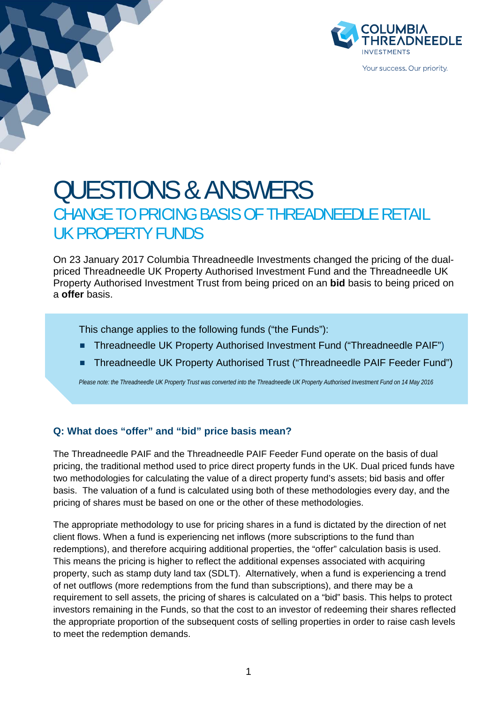

# QUESTIONS & ANSWERS CHANGE TO PRICING BASIS OF THREADNEEDLE RETAIL UK PROPERTY FUNDS

On 23 January 2017 Columbia Threadneedle Investments changed the pricing of the dualpriced Threadneedle UK Property Authorised Investment Fund and the Threadneedle UK Property Authorised Investment Trust from being priced on an **bid** basis to being priced on a **offer** basis.

This change applies to the following funds ("the Funds"):

- Threadneedle UK Property Authorised Investment Fund ("Threadneedle PAIF")
- **Threadneedle UK Property Authorised Trust ("Threadneedle PAIF Feeder Fund")**

*Please note: the Threadneedle UK Property Trust was converted into the Threadneedle UK Property Authorised Investment Fund on 14 May 2016* 

### **Q: What does "offer" and "bid" price basis mean?**

The Threadneedle PAIF and the Threadneedle PAIF Feeder Fund operate on the basis of dual pricing, the traditional method used to price direct property funds in the UK. Dual priced funds have two methodologies for calculating the value of a direct property fund's assets; bid basis and offer basis. The valuation of a fund is calculated using both of these methodologies every day, and the pricing of shares must be based on one or the other of these methodologies.

The appropriate methodology to use for pricing shares in a fund is dictated by the direction of net client flows. When a fund is experiencing net inflows (more subscriptions to the fund than redemptions), and therefore acquiring additional properties, the "offer" calculation basis is used. This means the pricing is higher to reflect the additional expenses associated with acquiring property, such as stamp duty land tax (SDLT). Alternatively, when a fund is experiencing a trend of net outflows (more redemptions from the fund than subscriptions), and there may be a requirement to sell assets, the pricing of shares is calculated on a "bid" basis. This helps to protect investors remaining in the Funds, so that the cost to an investor of redeeming their shares reflected the appropriate proportion of the subsequent costs of selling properties in order to raise cash levels to meet the redemption demands.